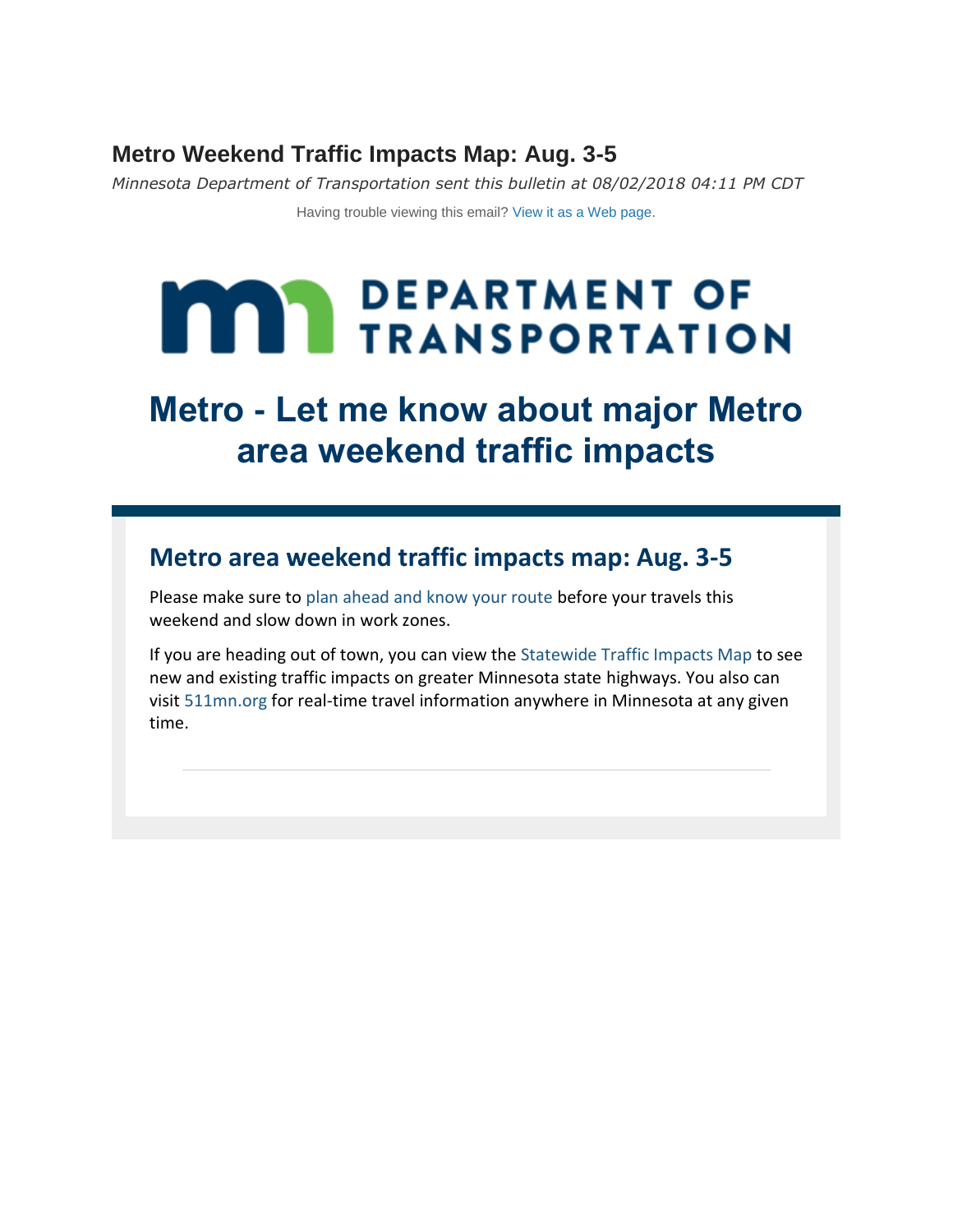## **Metro Weekend Traffic Impacts Map: Aug. 3-5**

*Minnesota Department of Transportation sent this bulletin at 08/02/2018 04:11 PM CDT*

Having trouble viewing this email? View it as [a Web page.](https://content.govdelivery.com/accounts/MNDOT/bulletins/2032db3)

# **MAY DEPARTMENT OF TRANSPORTATION**

## **Metro - Let me know about major Metro area weekend traffic impacts**

## **Metro area weekend traffic impacts map: Aug. 3-5**

Please make sure to [plan ahead and know your route](http://www.dot.state.mn.us/knowyourroute/?utm_content=&utm_medium=email&utm_name=&utm_source=govdelivery&utm_term=) before your travels this weekend and slow down in work zones.

If you are heading out of town, you can view the [Statewide Traffic Impacts Map](http://www.dot.state.mn.us/statewidetrafficimpacts/?utm_content=&utm_medium=email&utm_name=&utm_source=govdelivery&utm_term=) to see new and existing traffic impacts on greater Minnesota state highways. You also can visit [511mn.org](http://www.511mn.org/?utm_content=&utm_medium=email&utm_name=&utm_source=govdelivery&utm_term=) for real-time travel information anywhere in Minnesota at any given time.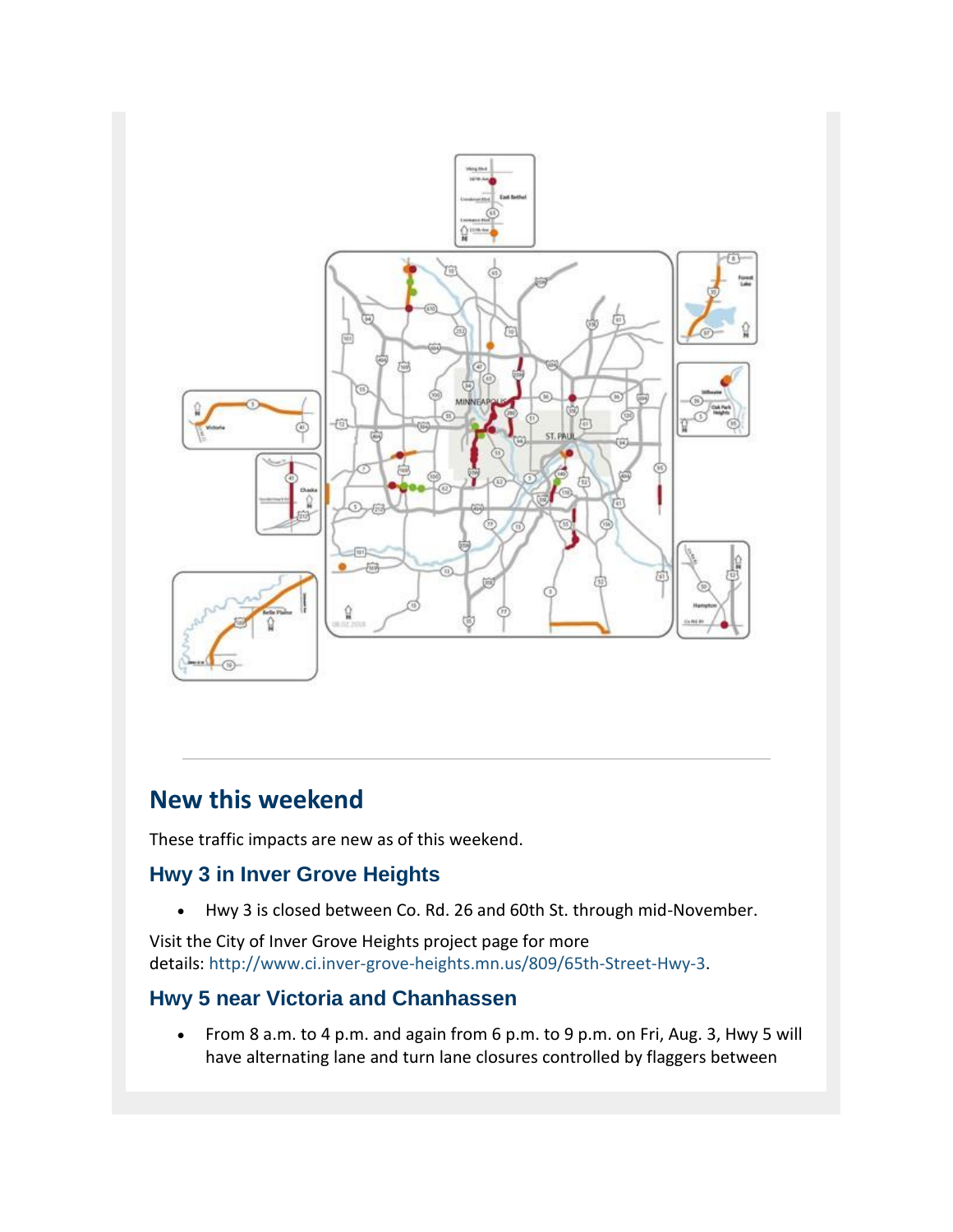

## **New this weekend**

These traffic impacts are new as of this weekend.

## **Hwy 3 in Inver Grove Heights**

Hwy 3 is closed between Co. Rd. 26 and 60th St. through mid-November.

Visit the City of Inver Grove Heights project page for more details: [http://www.ci.inver-grove-heights.mn.us/809/65th-Street-Hwy-3.](http://www.ci.inver-grove-heights.mn.us/809/65th-Street-Hwy-3?utm_content=&utm_medium=email&utm_name=&utm_source=govdelivery&utm_term=)

## **Hwy 5 near Victoria and Chanhassen**

 From 8 a.m. to 4 p.m. and again from 6 p.m. to 9 p.m. on Fri, Aug. 3, Hwy 5 will have alternating lane and turn lane closures controlled by flaggers between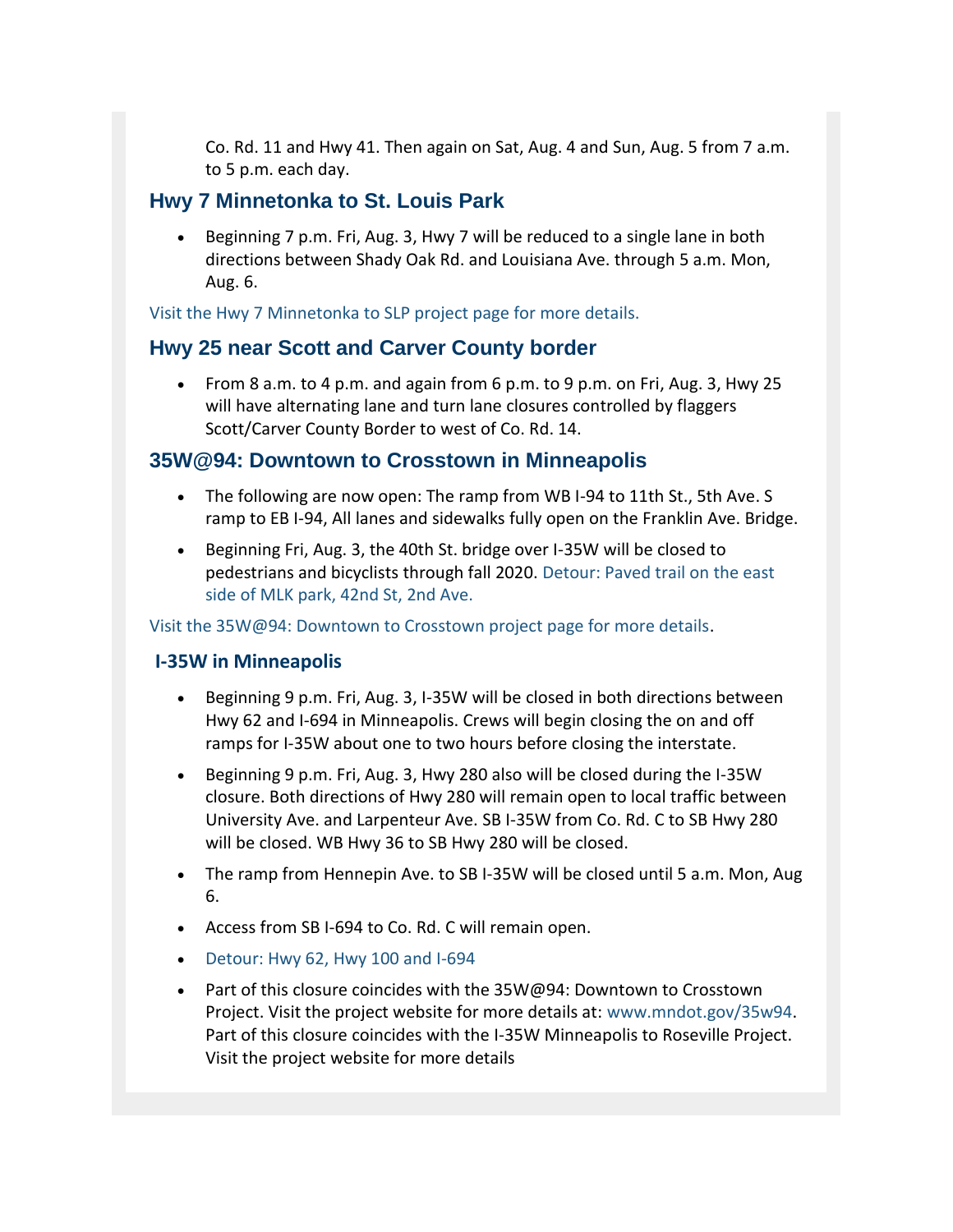Co. Rd. 11 and Hwy 41. Then again on Sat, Aug. 4 and Sun, Aug. 5 from 7 a.m. to 5 p.m. each day.

### **Hwy 7 Minnetonka to St. Louis Park**

 Beginning 7 p.m. Fri, Aug. 3, Hwy 7 will be reduced to a single lane in both directions between Shady Oak Rd. and Louisiana Ave. through 5 a.m. Mon, Aug. 6.

[Visit the Hwy 7 Minnetonka to SLP project page for more details.](http://wwwdev.dot.state.mn.us/metro/projects/hwy7minnetonkaslp/index.html?utm_content=&utm_medium=email&utm_name=&utm_source=govdelivery&utm_term=)

## **Hwy 25 near Scott and Carver County border**

 From 8 a.m. to 4 p.m. and again from 6 p.m. to 9 p.m. on Fri, Aug. 3, Hwy 25 will have alternating lane and turn lane closures controlled by flaggers Scott/Carver County Border to west of Co. Rd. 14.

## **35W@94: Downtown to Crosstown in Minneapolis**

- The following are now open: The ramp from WB I-94 to 11th St., 5th Ave. S ramp to EB I-94, All lanes and sidewalks fully open on the Franklin Ave. Bridge.
- Beginning Fri, Aug. 3, the 40th St. bridge over I-35W will be closed to pedestrians and bicyclists through fall 2020. [Detour: Paved trail on the east](http://www.dot.state.mn.us/35w94/pdf/detourmaps/40thst-bridge.pdf?utm_content=&utm_medium=email&utm_name=&utm_source=govdelivery&utm_term=)  [side of MLK park, 42nd St, 2nd Ave.](http://www.dot.state.mn.us/35w94/pdf/detourmaps/40thst-bridge.pdf?utm_content=&utm_medium=email&utm_name=&utm_source=govdelivery&utm_term=)

[Visit the 35W@94: Downtown to Crosstown project page for more details.](http://www.dot.state.mn.us/35w94/?utm_content=&utm_medium=email&utm_name=&utm_source=govdelivery&utm_term=)

#### **I-35W in Minneapolis**

- Beginning 9 p.m. Fri, Aug. 3, I-35W will be closed in both directions between Hwy 62 and I-694 in Minneapolis. Crews will begin closing the on and off ramps for I-35W about one to two hours before closing the interstate.
- Beginning 9 p.m. Fri, Aug. 3, Hwy 280 also will be closed during the I-35W closure. Both directions of Hwy 280 will remain open to local traffic between University Ave. and Larpenteur Ave. SB I-35W from Co. Rd. C to SB Hwy 280 will be closed. WB Hwy 36 to SB Hwy 280 will be closed.
- The ramp from Hennepin Ave. to SB I-35W will be closed until 5 a.m. Mon, Aug 6.
- Access from SB I-694 to Co. Rd. C will remain open.
- [Detour: Hwy 62, Hwy 100 and I-694](http://www.dot.state.mn.us/35w94/pdf/detourmaps/i35w-hwy62-i694.pdf?utm_content=&utm_medium=email&utm_name=&utm_source=govdelivery&utm_term=)
- Part of this closure coincides with the 35W@94: Downtown to Crosstown Project. Visit the project website for more details at: [www.mndot.gov/35w94.](http://www.dot.state.mn.us/35w94/?utm_content=&utm_medium=email&utm_name=&utm_source=govdelivery&utm_term=) Part of this closure coincides with the I-35W Minneapolis to Roseville Project. Visit the project website for more details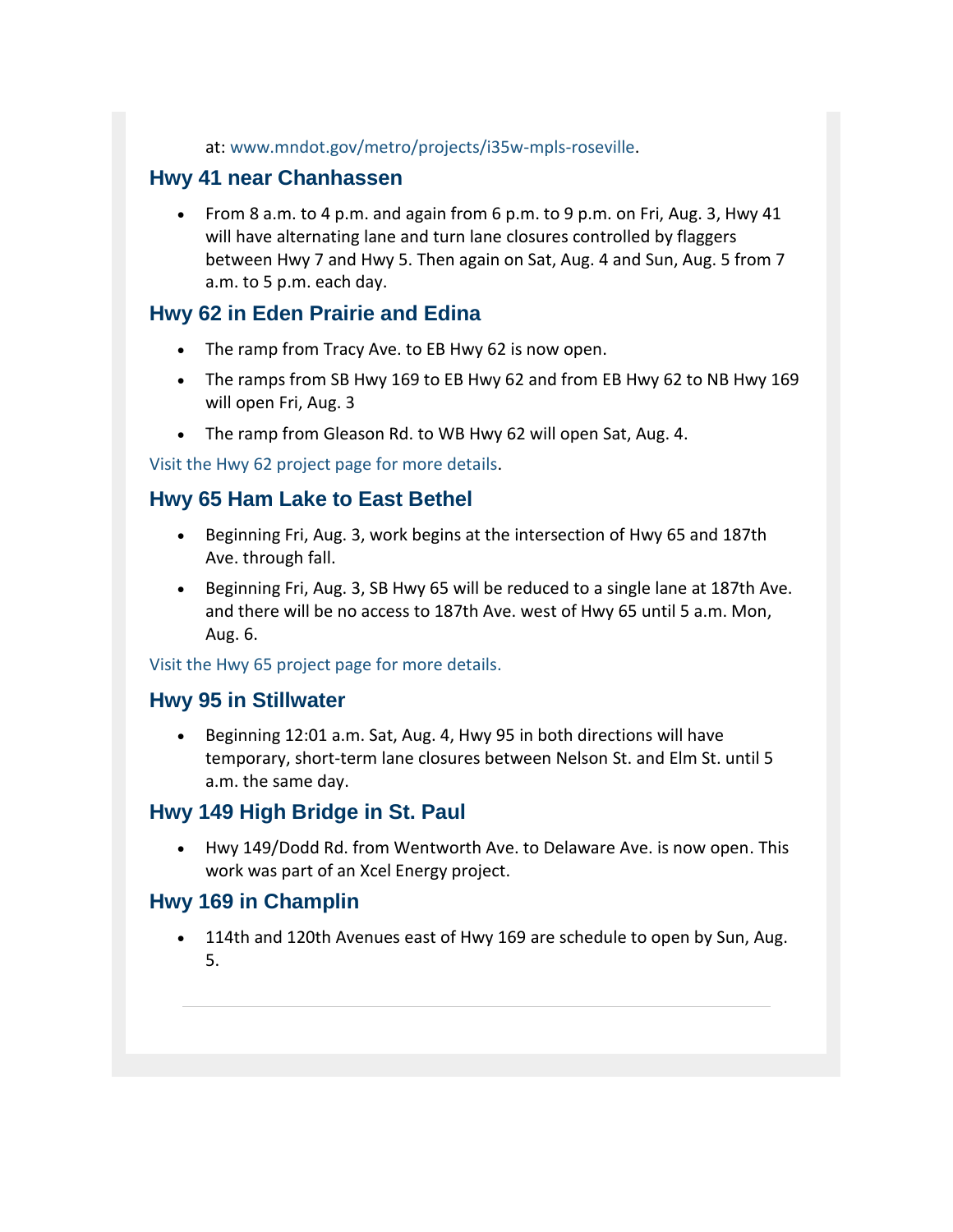at: [www.mndot.gov/metro/projects/i35w-mpls-roseville.](http://www.dot.state.mn.us/metro/projects/i35w-mpls-roseville/?utm_content=&utm_medium=email&utm_name=&utm_source=govdelivery&utm_term=)

## **Hwy 41 near Chanhassen**

• From 8 a.m. to 4 p.m. and again from 6 p.m. to 9 p.m. on Fri, Aug. 3, Hwy 41 will have alternating lane and turn lane closures controlled by flaggers between Hwy 7 and Hwy 5. Then again on Sat, Aug. 4 and Sun, Aug. 5 from 7 a.m. to 5 p.m. each day.

### **Hwy 62 in Eden Prairie and Edina**

- The ramp from Tracy Ave. to EB Hwy 62 is now open.
- The ramps from SB Hwy 169 to EB Hwy 62 and from EB Hwy 62 to NB Hwy 169 will open Fri, Aug. 3
- The ramp from Gleason Rd. to WB Hwy 62 will open Sat, Aug. 4.

[Visit the Hwy 62 project page for more details.](http://www.dot.state.mn.us/metro/projects/hwy62/?utm_content=&utm_medium=email&utm_name=&utm_source=govdelivery&utm_term=)

## **Hwy 65 Ham Lake to East Bethel**

- Beginning Fri, Aug. 3, work begins at the intersection of Hwy 65 and 187th Ave. through fall.
- Beginning Fri, Aug. 3, SB Hwy 65 will be reduced to a single lane at 187th Ave. and there will be no access to 187th Ave. west of Hwy 65 until 5 a.m. Mon, Aug. 6.

[Visit the Hwy 65 project page for more details.](http://wwwdev.dot.state.mn.us/metro/projects/hwy65rci/?utm_content=&utm_medium=email&utm_name=&utm_source=govdelivery&utm_term=)

### **Hwy 95 in Stillwater**

 Beginning 12:01 a.m. Sat, Aug. 4, Hwy 95 in both directions will have temporary, short-term lane closures between Nelson St. and Elm St. until 5 a.m. the same day.

### **Hwy 149 High Bridge in St. Paul**

 Hwy 149/Dodd Rd. from Wentworth Ave. to Delaware Ave. is now open. This work was part of an Xcel Energy project.

### **Hwy 169 in Champlin**

• 114th and 120th Avenues east of Hwy 169 are schedule to open by Sun, Aug. 5.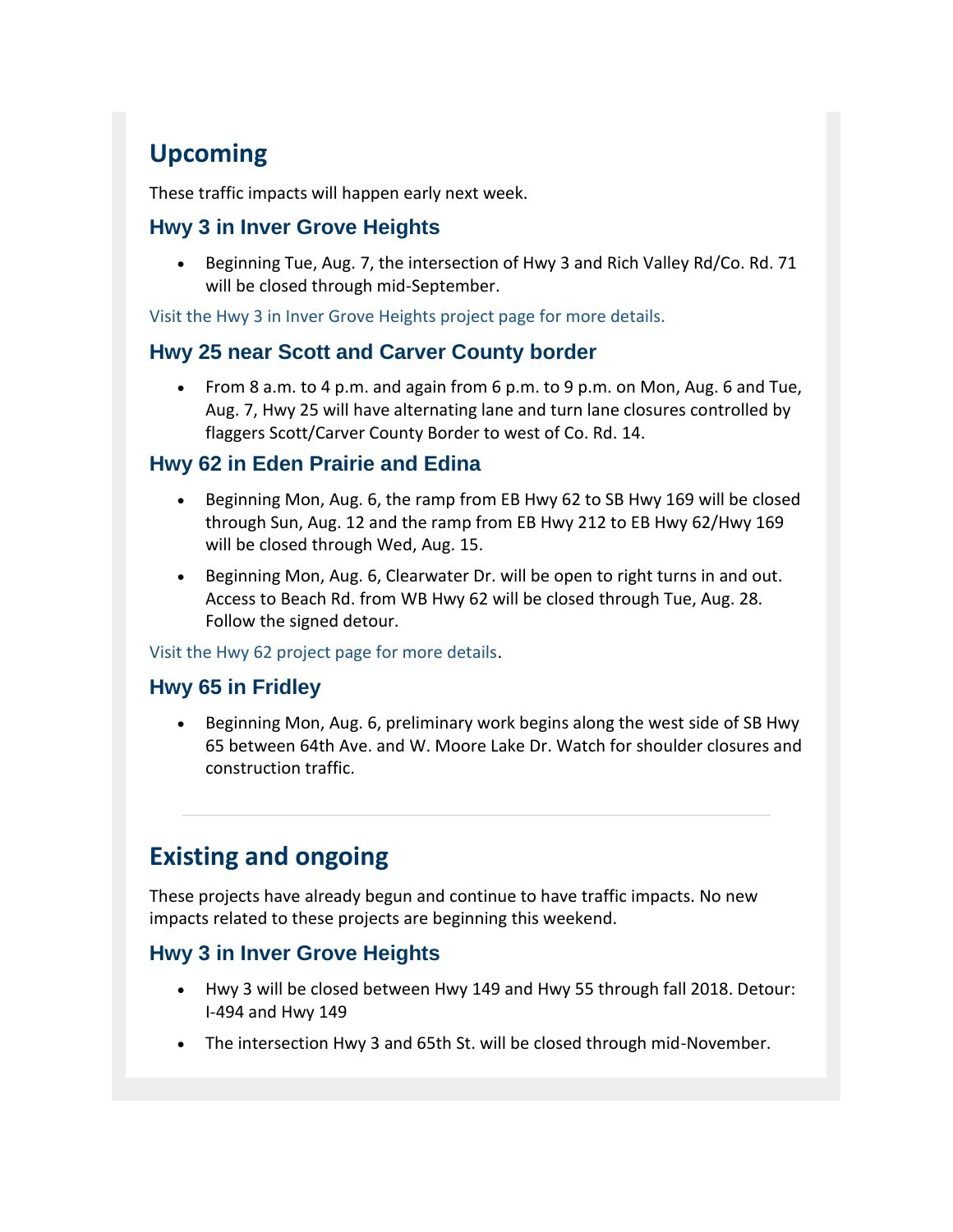## **Upcoming**

These traffic impacts will happen early next week.

## **Hwy 3 in Inver Grove Heights**

 Beginning Tue, Aug. 7, the intersection of Hwy 3 and Rich Valley Rd/Co. Rd. 71 will be closed through mid-September.

[Visit the Hwy 3 in Inver Grove Heights project page for more details.](http://www.dot.state.mn.us/metro/projects/hwy3invergrove/index.html?utm_content=&utm_medium=email&utm_name=&utm_source=govdelivery&utm_term=)

## **Hwy 25 near Scott and Carver County border**

 From 8 a.m. to 4 p.m. and again from 6 p.m. to 9 p.m. on Mon, Aug. 6 and Tue, Aug. 7, Hwy 25 will have alternating lane and turn lane closures controlled by flaggers Scott/Carver County Border to west of Co. Rd. 14.

## **Hwy 62 in Eden Prairie and Edina**

- Beginning Mon, Aug. 6, the ramp from EB Hwy 62 to SB Hwy 169 will be closed through Sun, Aug. 12 and the ramp from EB Hwy 212 to EB Hwy 62/Hwy 169 will be closed through Wed, Aug. 15.
- Beginning Mon, Aug. 6, Clearwater Dr. will be open to right turns in and out. Access to Beach Rd. from WB Hwy 62 will be closed through Tue, Aug. 28. Follow the signed detour.

#### [Visit the Hwy 62 project page for more details.](http://www.dot.state.mn.us/metro/projects/hwy62/?utm_content=&utm_medium=email&utm_name=&utm_source=govdelivery&utm_term=)

## **Hwy 65 in Fridley**

 Beginning Mon, Aug. 6, preliminary work begins along the west side of SB Hwy 65 between 64th Ave. and W. Moore Lake Dr. Watch for shoulder closures and construction traffic.

## **Existing and ongoing**

These projects have already begun and continue to have traffic impacts. No new impacts related to these projects are beginning this weekend.

## **Hwy 3 in Inver Grove Heights**

- Hwy 3 will be closed between Hwy 149 and Hwy 55 through fall 2018. Detour: I-494 and Hwy 149
- The intersection Hwy 3 and 65th St. will be closed through mid-November.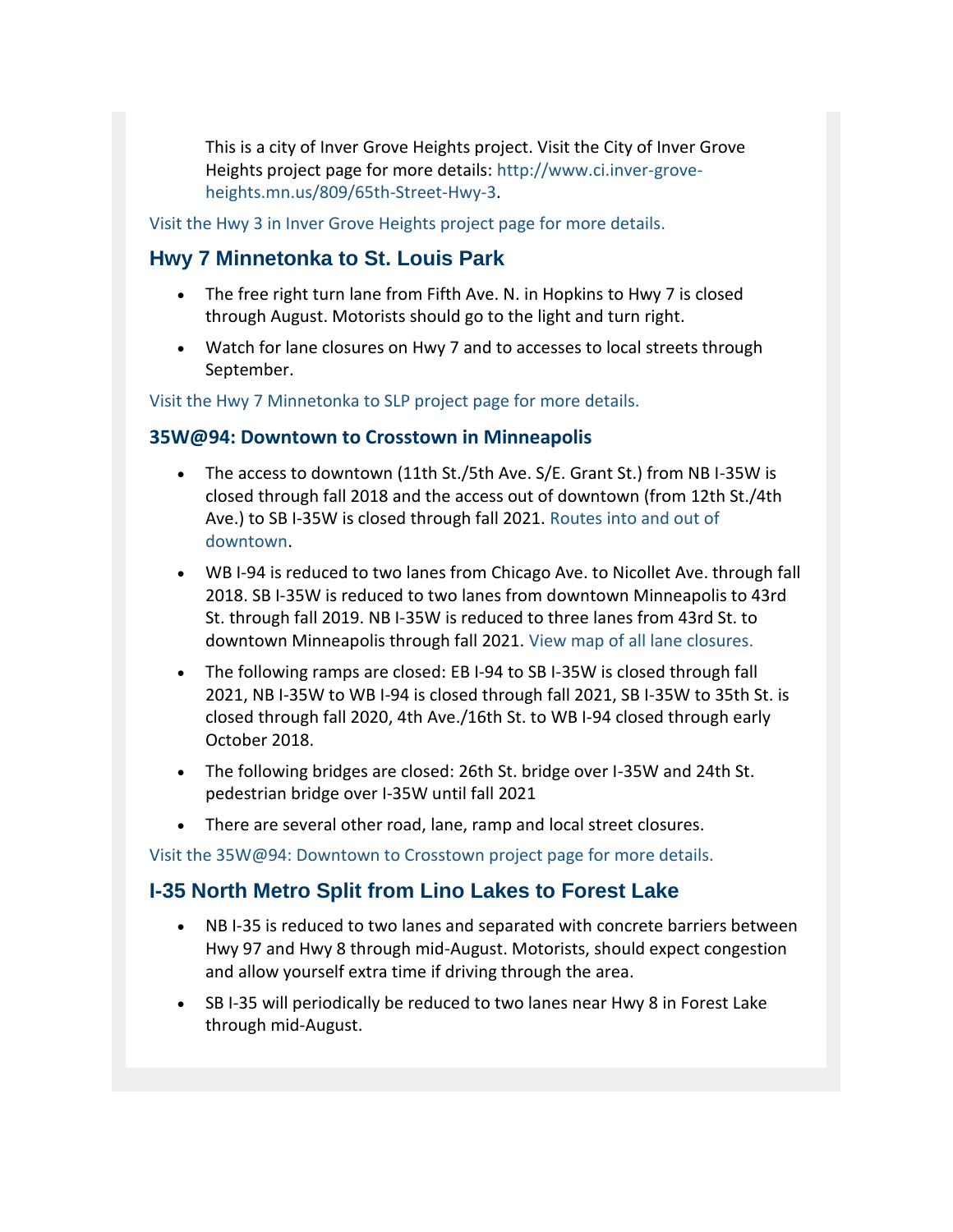This is a city of Inver Grove Heights project. Visit the City of Inver Grove Heights project page for more details: [http://www.ci.inver-grove](http://www.ci.inver-grove-heights.mn.us/809/65th-Street-Hwy-3?utm_content=&utm_medium=email&utm_name=&utm_source=govdelivery&utm_term=)[heights.mn.us/809/65th-Street-Hwy-3.](http://www.ci.inver-grove-heights.mn.us/809/65th-Street-Hwy-3?utm_content=&utm_medium=email&utm_name=&utm_source=govdelivery&utm_term=)

[Visit the Hwy 3 in Inver Grove Heights project page for more details.](http://wwwdev.dot.state.mn.us/metro/projects/hwy3invergrove/index.html?utm_content=&utm_medium=email&utm_name=&utm_source=govdelivery&utm_term=)

## **Hwy 7 Minnetonka to St. Louis Park**

- The free right turn lane from Fifth Ave. N. in Hopkins to Hwy 7 is closed through August. Motorists should go to the light and turn right.
- Watch for lane closures on Hwy 7 and to accesses to local streets through September.

[Visit the Hwy 7 Minnetonka to SLP project page for more details.](http://wwwdev.dot.state.mn.us/metro/projects/hwy7minnetonkaslp/index.html?utm_content=&utm_medium=email&utm_name=&utm_source=govdelivery&utm_term=)

#### **35W@94: Downtown to Crosstown in Minneapolis**

- The access to downtown (11th St./5th Ave. S/E. Grant St.) from NB I-35W is closed through fall 2018 and the access out of downtown (from 12th St./4th Ave.) to SB I-35W is closed through fall 2021. [Routes into and out of](http://www.dot.state.mn.us/35w94/pdf/detourmaps/downtown-access-map.pdf?utm_content=&utm_medium=email&utm_name=&utm_source=govdelivery&utm_term=)  [downtown.](http://www.dot.state.mn.us/35w94/pdf/detourmaps/downtown-access-map.pdf?utm_content=&utm_medium=email&utm_name=&utm_source=govdelivery&utm_term=)
- WB I-94 is reduced to two lanes from Chicago Ave. to Nicollet Ave. through fall 2018. SB I-35W is reduced to two lanes from downtown Minneapolis to 43rd St. through fall 2019. NB I-35W is reduced to three lanes from 43rd St. to downtown Minneapolis through fall 2021. [View map of all lane closures.](http://wwwdev.dot.state.mn.us/35w94/pdf/35wandi94-lane-reductions.pdf?utm_content=&utm_medium=email&utm_name=&utm_source=govdelivery&utm_term=)
- The following ramps are closed: EB I-94 to SB I-35W is closed through fall 2021, NB I-35W to WB I-94 is closed through fall 2021, SB I-35W to 35th St. is closed through fall 2020, 4th Ave./16th St. to WB I-94 closed through early October 2018.
- The following bridges are closed: 26th St. bridge over I-35W and 24th St. pedestrian bridge over I-35W until fall 2021
- There are several other road, lane, ramp and local street closures.

[Visit the 35W@94: Downtown to Crosstown project page for more details.](http://www.dot.state.mn.us/35w94/index.html?utm_content=&utm_medium=email&utm_name=&utm_source=govdelivery&utm_term=)

## **I-35 North Metro Split from Lino Lakes to Forest Lake**

- NB I-35 is reduced to two lanes and separated with concrete barriers between Hwy 97 and Hwy 8 through mid-August. Motorists, should expect congestion and allow yourself extra time if driving through the area.
- SB I-35 will periodically be reduced to two lanes near Hwy 8 in Forest Lake through mid-August.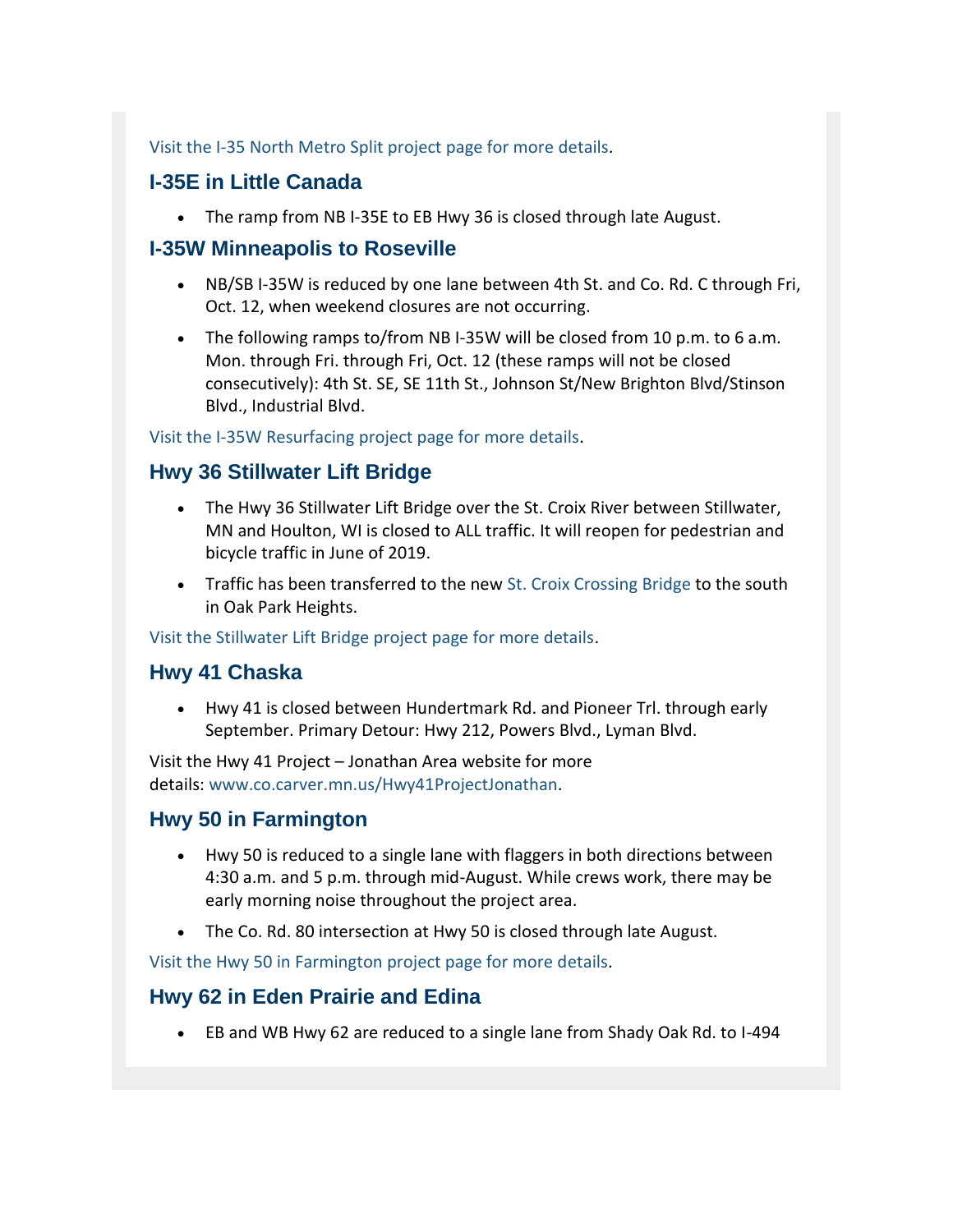[Visit the I-35 North Metro Split project page for more details.](http://wwwdev.dot.state.mn.us/metro/projects/i35northmetrosplit/?utm_content=&utm_medium=email&utm_name=&utm_source=govdelivery&utm_term=)

## **I-35E in Little Canada**

• The ramp from NB I-35E to EB Hwy 36 is closed through late August.

## **I-35W Minneapolis to Roseville**

- NB/SB I-35W is reduced by one lane between 4th St. and Co. Rd. C through Fri, Oct. 12, when weekend closures are not occurring.
- The following ramps to/from NB I-35W will be closed from 10 p.m. to 6 a.m. Mon. through Fri. through Fri, Oct. 12 (these ramps will not be closed consecutively): 4th St. SE, SE 11th St., Johnson St/New Brighton Blvd/Stinson Blvd., Industrial Blvd.

[Visit the I-35W Resurfacing project page for more details.](http://wwwdev.dot.state.mn.us/metro/projects/i35w-mpls-roseville/index.html?utm_content=&utm_medium=email&utm_name=&utm_source=govdelivery&utm_term=)

## **Hwy 36 Stillwater Lift Bridge**

- The Hwy 36 Stillwater Lift Bridge over the St. Croix River between Stillwater, MN and Houlton, WI is closed to ALL traffic. It will reopen for pedestrian and bicycle traffic in June of 2019.
- Traffic has been transferred to the new [St. Croix Crossing Bridge](http://wwwdev.dot.state.mn.us/stcroixcrossing/?utm_content=&utm_medium=email&utm_name=&utm_source=govdelivery&utm_term=) to the south in Oak Park Heights.

[Visit the Stillwater Lift Bridge project page for more details.](http://wwwdev.dot.state.mn.us/metro/projects/liftbridge/?utm_content=&utm_medium=email&utm_name=&utm_source=govdelivery&utm_term=)

## **Hwy 41 Chaska**

 Hwy 41 is closed between Hundertmark Rd. and Pioneer Trl. through early September. Primary Detour: Hwy 212, Powers Blvd., Lyman Blvd.

Visit the Hwy 41 Project – Jonathan Area website for more details: [www.co.carver.mn.us/Hwy41ProjectJonathan.](http://www.co.carver.mn.us/Hwy41ProjectJonathan?utm_content=&utm_medium=email&utm_name=&utm_source=govdelivery&utm_term=)

## **Hwy 50 in Farmington**

- Hwy 50 is reduced to a single lane with flaggers in both directions between 4:30 a.m. and 5 p.m. through mid-August. While crews work, there may be early morning noise throughout the project area.
- The Co. Rd. 80 intersection at Hwy 50 is closed through late August.

[Visit the Hwy 50 in Farmington project page for more details.](http://wwwdev.dot.state.mn.us/metro/projects/hwy50farmington/index.html?utm_content=&utm_medium=email&utm_name=&utm_source=govdelivery&utm_term=)

## **Hwy 62 in Eden Prairie and Edina**

EB and WB Hwy 62 are reduced to a single lane from Shady Oak Rd. to I-494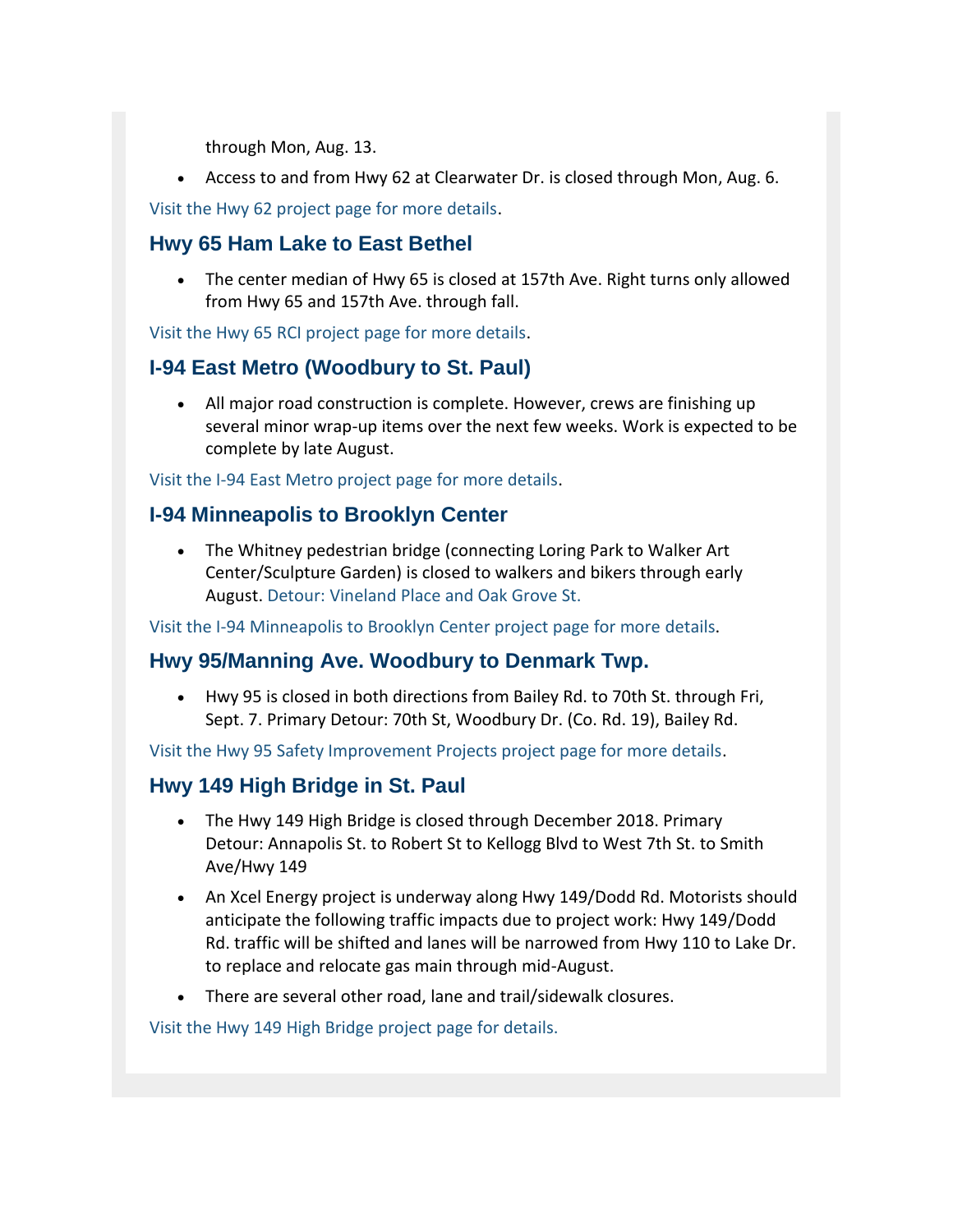through Mon, Aug. 13.

Access to and from Hwy 62 at Clearwater Dr. is closed through Mon, Aug. 6.

[Visit the Hwy 62 project page for more details.](http://www.dot.state.mn.us/metro/projects/hwy62/?utm_content=&utm_medium=email&utm_name=&utm_source=govdelivery&utm_term=)

## **Hwy 65 Ham Lake to East Bethel**

 The center median of Hwy 65 is closed at 157th Ave. Right turns only allowed from Hwy 65 and 157th Ave. through fall.

[Visit the Hwy 65 RCI project page for more details.](http://www.dot.state.mn.us/metro/projects/hwy65rci/?utm_content=&utm_medium=email&utm_name=&utm_source=govdelivery&utm_term=)

## **I-94 East Metro (Woodbury to St. Paul)**

 All major road construction is complete. However, crews are finishing up several minor wrap-up items over the next few weeks. Work is expected to be complete by late August.

[Visit the I-94 East Metro project page for more details.](http://www.dot.state.mn.us/metro/projects/i94stpaul?utm_content=&utm_medium=email&utm_name=&utm_source=govdelivery&utm_term=)

## **I-94 Minneapolis to Brooklyn Center**

 The Whitney pedestrian bridge (connecting Loring Park to Walker Art Center/Sculpture Garden) is closed to walkers and bikers through early August. [Detour: Vineland Place and Oak Grove St.](http://wwwdev.dot.state.mn.us/metro/projects/i94brooklyncntr/pdf/detour-map-whitney-ped-bridge.pdf?utm_content=&utm_medium=email&utm_name=&utm_source=govdelivery&utm_term=)

[Visit the I-94 Minneapolis to Brooklyn Center project page for more](http://wwwdev.dot.state.mn.us/metro/projects/i94brooklyncntr/index.html?utm_content=&utm_medium=email&utm_name=&utm_source=govdelivery&utm_term=) details.

## **Hwy 95/Manning Ave. Woodbury to Denmark Twp.**

 Hwy 95 is closed in both directions from Bailey Rd. to 70th St. through Fri, Sept. 7. Primary Detour: 70th St, Woodbury Dr. (Co. Rd. 19), Bailey Rd.

[Visit the Hwy 95 Safety Improvement Projects project page for more details.](http://wwwdev.dot.state.mn.us/metro/projects/hwy95safetyimprovements/?utm_content=&utm_medium=email&utm_name=&utm_source=govdelivery&utm_term=)

## **Hwy 149 High Bridge in St. Paul**

- The Hwy 149 High Bridge is closed through December 2018. Primary Detour: Annapolis St. to Robert St to Kellogg Blvd to West 7th St. to Smith Ave/Hwy 149
- An Xcel Energy project is underway along Hwy 149/Dodd Rd. Motorists should anticipate the following traffic impacts due to project work: Hwy 149/Dodd Rd. traffic will be shifted and lanes will be narrowed from Hwy 110 to Lake Dr. to replace and relocate gas main through mid-August.
- There are several other road, lane and trail/sidewalk closures.

[Visit the Hwy 149 High Bridge project page for details.](http://wwwdev.dot.state.mn.us/metro/projects/hwy149highbridge/index.html?utm_content=&utm_medium=email&utm_name=&utm_source=govdelivery&utm_term=)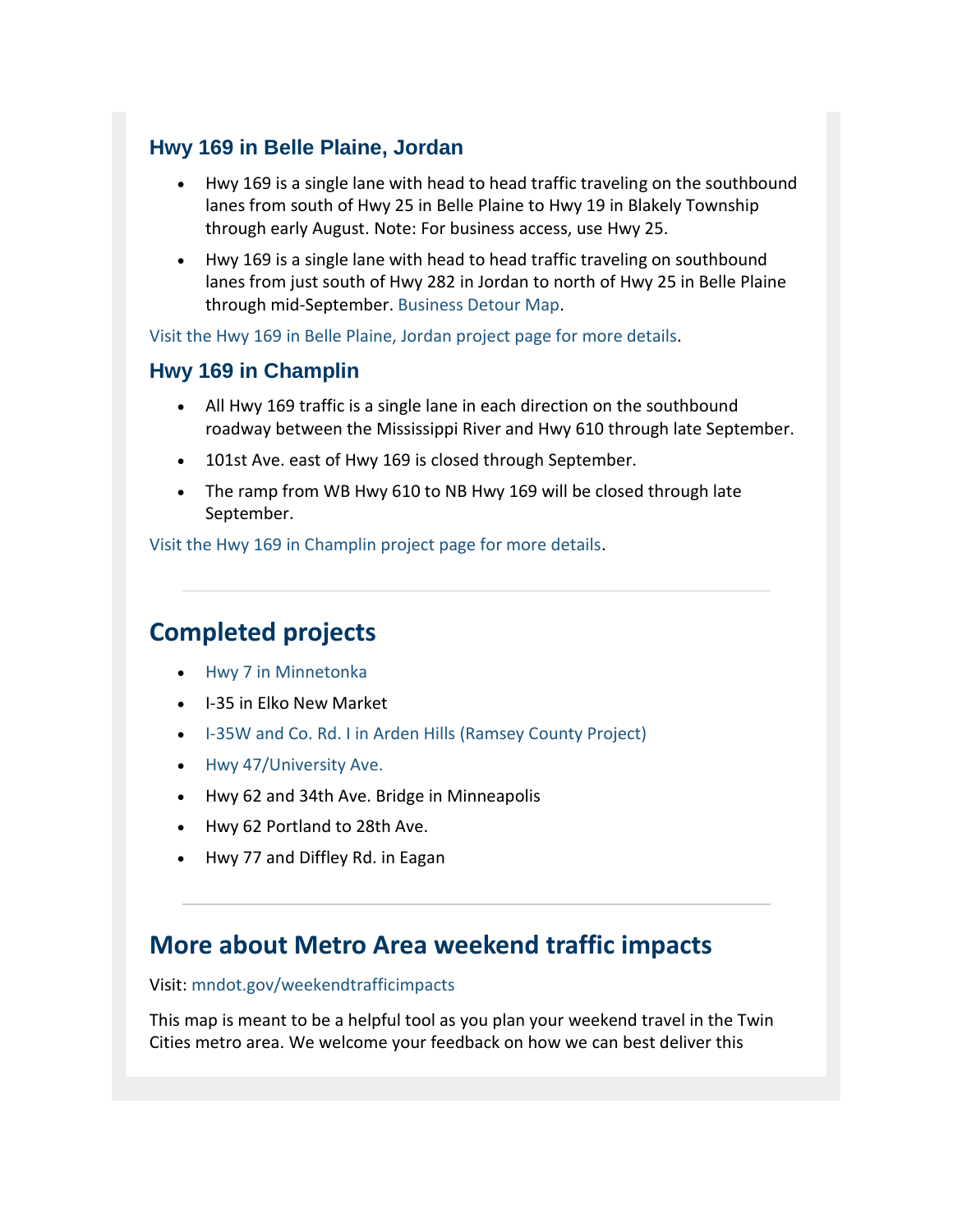## **Hwy 169 in Belle Plaine, Jordan**

- Hwy 169 is a single lane with head to head traffic traveling on the southbound lanes from south of Hwy 25 in Belle Plaine to Hwy 19 in Blakely Township through early August. Note: For business access, use Hwy 25.
- Hwy 169 is a single lane with head to head traffic traveling on southbound lanes from just south of Hwy 282 in Jordan to north of Hwy 25 in Belle Plaine through mid-September. [Business Detour Map.](http://wwwdev.dot.state.mn.us/metro/projects/hwy169belleplaineandjordan/pdf/detour-map-jordan-businesses.pdf?utm_content=&utm_medium=email&utm_name=&utm_source=govdelivery&utm_term=)

[Visit the Hwy 169 in Belle Plaine, Jordan project page for more details.](http://wwwdev.dot.state.mn.us/metro/projects/hwy169belleplaineandjordan/index.html?utm_content=&utm_medium=email&utm_name=&utm_source=govdelivery&utm_term=)

## **Hwy 169 in Champlin**

- All Hwy 169 traffic is a single lane in each direction on the southbound roadway between the Mississippi River and Hwy 610 through late September.
- 101st Ave. east of Hwy 169 is closed through September.
- The ramp from WB Hwy 610 to NB Hwy 169 will be closed through late September.

[Visit the Hwy 169 in Champlin project page for more details.](http://wwwdev.dot.state.mn.us/metro/projects/hwy169champlin/index.html?utm_content=&utm_medium=email&utm_name=&utm_source=govdelivery&utm_term=)

## **Completed projects**

- [Hwy 7 in Minnetonka](http://www.dot.state.mn.us/metro/projects/hwy7minnetonka/?utm_content=&utm_medium=email&utm_name=&utm_source=govdelivery&utm_term=)
- I-35 in Elko New Market
- [I-35W and Co. Rd. I in Arden Hills \(Ramsey County Project\)](https://www.ramseycounty.us/residents/roads-transit/2018-construction-maintenance/county-road-irice-creek-parkway-roundabout?utm_content=&utm_medium=email&utm_name=&utm_source=govdelivery&utm_term=)
- [Hwy 47/University Ave.](http://wwwdev.dot.state.mn.us/metro/projects/hwy47mpls/index.html?utm_content=&utm_medium=email&utm_name=&utm_source=govdelivery&utm_term=)
- Hwy 62 and 34th Ave. Bridge in Minneapolis
- Hwy 62 Portland to 28th Ave.
- Hwy 77 and Diffley Rd. in Eagan

## **More about Metro Area weekend traffic impacts**

Visit: [mndot.gov/weekendtrafficimpacts](http://www.dot.state.mn.us/weekendtrafficimpacts/?utm_content=&utm_medium=email&utm_name=&utm_source=govdelivery&utm_term=)

This map is meant to be a helpful tool as you plan your weekend travel in the Twin Cities metro area. We welcome your feedback on how we can best deliver this